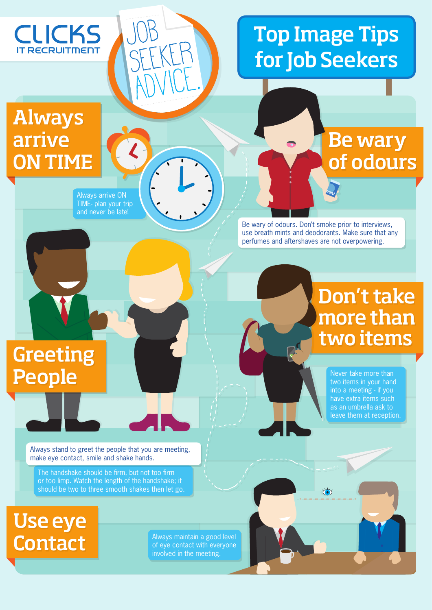

# Top Image Tips for Job Seekers

## Always arrive ON TIME

Always arrive ON TIME- plan your trip and never be late!

Job

SEEKER

ADVICE.

## Be wary of odours

Be wary of odours. Don't smoke prior to interviews, use breath mints and deodorants. Make sure that any perfumes and aftershaves are not overpowering.

## Greeting People

### Don't take more than two items

Never take more than two items in your hand into a meeting - if you have extra items such as an umbrella ask to leave them at reception.

 $\overleftrightarrow{\bullet}$ 

Always stand to greet the people that you are meeting, make eye contact, smile and shake hands.

The handshake should be firm, but not too firm or too limp. Watch the length of the handshake; it should be two to three smooth shakes then let go.

Use eye Contact

Always maintain a good level of eye contact with everyone involved in the meeting.